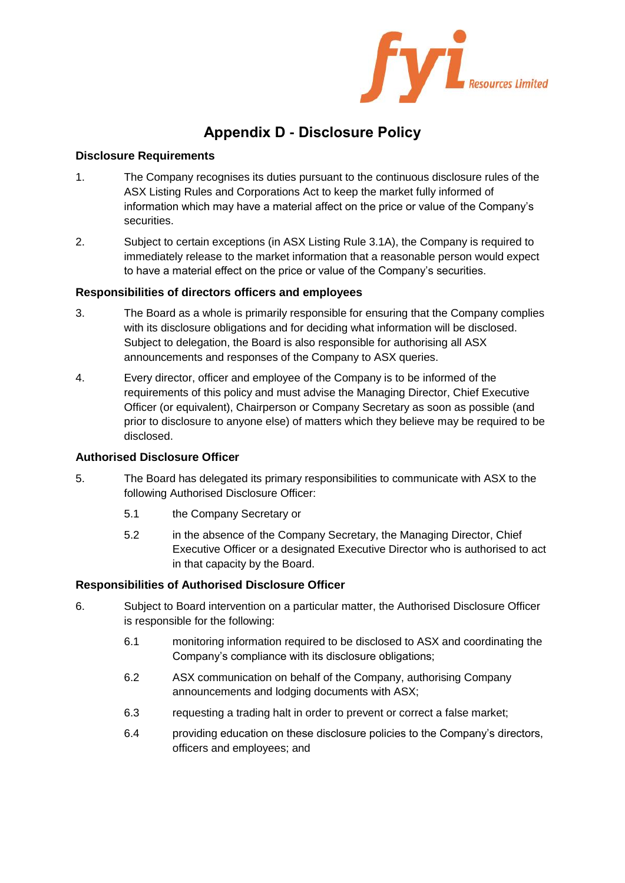

# **Appendix D - Disclosure Policy**

# **Disclosure Requirements**

- 1. The Company recognises its duties pursuant to the continuous disclosure rules of the ASX Listing Rules and Corporations Act to keep the market fully informed of information which may have a material affect on the price or value of the Company's securities.
- 2. Subject to certain exceptions (in ASX Listing Rule 3.1A), the Company is required to immediately release to the market information that a reasonable person would expect to have a material effect on the price or value of the Company's securities.

# **Responsibilities of directors officers and employees**

- 3. The Board as a whole is primarily responsible for ensuring that the Company complies with its disclosure obligations and for deciding what information will be disclosed. Subject to delegation, the Board is also responsible for authorising all ASX announcements and responses of the Company to ASX queries.
- 4. Every director, officer and employee of the Company is to be informed of the requirements of this policy and must advise the Managing Director, Chief Executive Officer (or equivalent), Chairperson or Company Secretary as soon as possible (and prior to disclosure to anyone else) of matters which they believe may be required to be disclosed.

## **Authorised Disclosure Officer**

- 5. The Board has delegated its primary responsibilities to communicate with ASX to the following Authorised Disclosure Officer:
	- 5.1 the Company Secretary or
	- 5.2 in the absence of the Company Secretary, the Managing Director, Chief Executive Officer or a designated Executive Director who is authorised to act in that capacity by the Board.

# **Responsibilities of Authorised Disclosure Officer**

- 6. Subject to Board intervention on a particular matter, the Authorised Disclosure Officer is responsible for the following:
	- 6.1 monitoring information required to be disclosed to ASX and coordinating the Company's compliance with its disclosure obligations;
	- 6.2 ASX communication on behalf of the Company, authorising Company announcements and lodging documents with ASX;
	- 6.3 requesting a trading halt in order to prevent or correct a false market;
	- 6.4 providing education on these disclosure policies to the Company's directors, officers and employees; and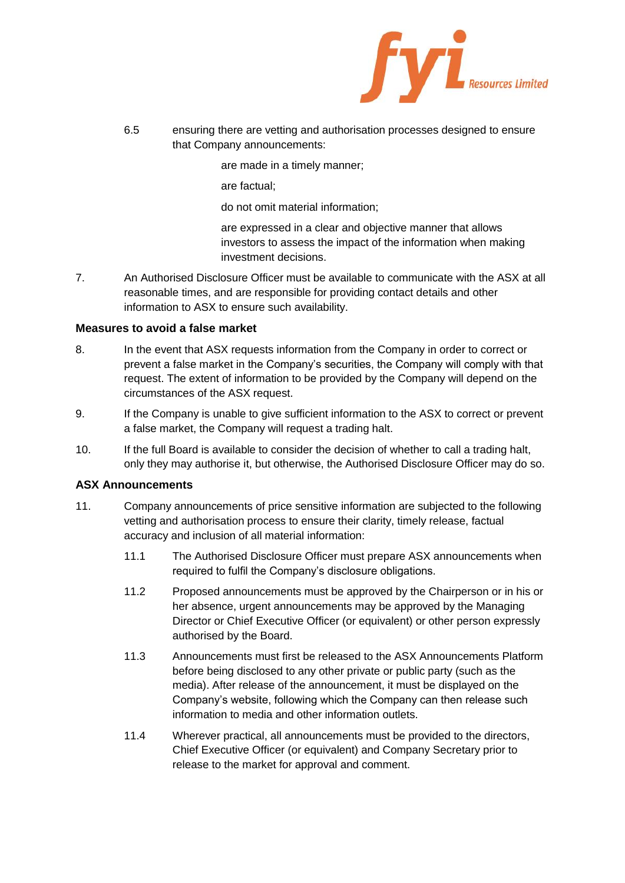

6.5 ensuring there are vetting and authorisation processes designed to ensure that Company announcements:

are made in a timely manner;

are factual;

do not omit material information;

are expressed in a clear and objective manner that allows investors to assess the impact of the information when making investment decisions.

7. An Authorised Disclosure Officer must be available to communicate with the ASX at all reasonable times, and are responsible for providing contact details and other information to ASX to ensure such availability.

#### **Measures to avoid a false market**

- 8. In the event that ASX requests information from the Company in order to correct or prevent a false market in the Company's securities, the Company will comply with that request. The extent of information to be provided by the Company will depend on the circumstances of the ASX request.
- 9. If the Company is unable to give sufficient information to the ASX to correct or prevent a false market, the Company will request a trading halt.
- 10. If the full Board is available to consider the decision of whether to call a trading halt, only they may authorise it, but otherwise, the Authorised Disclosure Officer may do so.

#### **ASX Announcements**

- 11. Company announcements of price sensitive information are subjected to the following vetting and authorisation process to ensure their clarity, timely release, factual accuracy and inclusion of all material information:
	- 11.1 The Authorised Disclosure Officer must prepare ASX announcements when required to fulfil the Company's disclosure obligations.
	- 11.2 Proposed announcements must be approved by the Chairperson or in his or her absence, urgent announcements may be approved by the Managing Director or Chief Executive Officer (or equivalent) or other person expressly authorised by the Board.
	- 11.3 Announcements must first be released to the ASX Announcements Platform before being disclosed to any other private or public party (such as the media). After release of the announcement, it must be displayed on the Company's website, following which the Company can then release such information to media and other information outlets.
	- 11.4 Wherever practical, all announcements must be provided to the directors, Chief Executive Officer (or equivalent) and Company Secretary prior to release to the market for approval and comment.